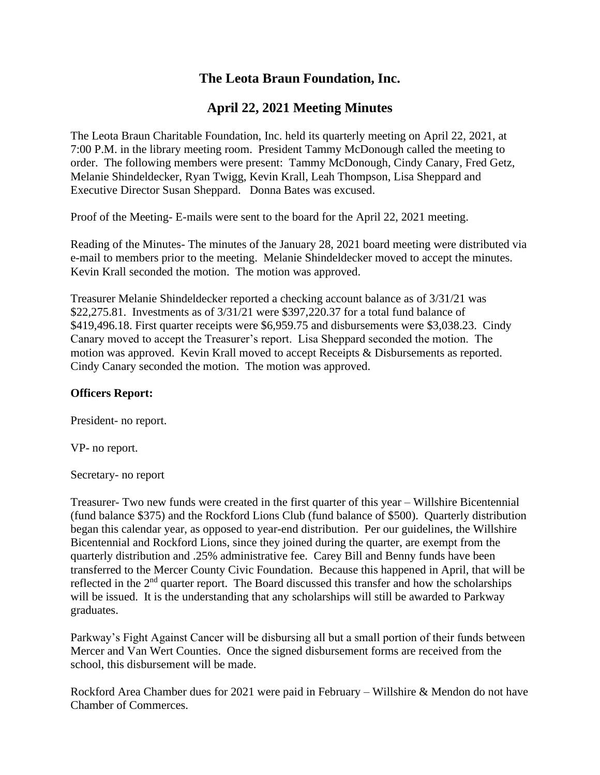# **The Leota Braun Foundation, Inc.**

# **April 22, 2021 Meeting Minutes**

The Leota Braun Charitable Foundation, Inc. held its quarterly meeting on April 22, 2021, at 7:00 P.M. in the library meeting room. President Tammy McDonough called the meeting to order. The following members were present: Tammy McDonough, Cindy Canary, Fred Getz, Melanie Shindeldecker, Ryan Twigg, Kevin Krall, Leah Thompson, Lisa Sheppard and Executive Director Susan Sheppard. Donna Bates was excused.

Proof of the Meeting- E-mails were sent to the board for the April 22, 2021 meeting.

Reading of the Minutes- The minutes of the January 28, 2021 board meeting were distributed via e-mail to members prior to the meeting. Melanie Shindeldecker moved to accept the minutes. Kevin Krall seconded the motion. The motion was approved.

Treasurer Melanie Shindeldecker reported a checking account balance as of 3/31/21 was \$22,275.81. Investments as of 3/31/21 were \$397,220.37 for a total fund balance of \$419,496.18. First quarter receipts were \$6,959.75 and disbursements were \$3,038.23. Cindy Canary moved to accept the Treasurer's report. Lisa Sheppard seconded the motion. The motion was approved. Kevin Krall moved to accept Receipts & Disbursements as reported. Cindy Canary seconded the motion. The motion was approved.

### **Officers Report:**

President- no report.

VP- no report.

Secretary- no report

Treasurer- Two new funds were created in the first quarter of this year – Willshire Bicentennial (fund balance \$375) and the Rockford Lions Club (fund balance of \$500). Quarterly distribution began this calendar year, as opposed to year-end distribution. Per our guidelines, the Willshire Bicentennial and Rockford Lions, since they joined during the quarter, are exempt from the quarterly distribution and .25% administrative fee. Carey Bill and Benny funds have been transferred to the Mercer County Civic Foundation. Because this happened in April, that will be reflected in the 2<sup>nd</sup> quarter report. The Board discussed this transfer and how the scholarships will be issued. It is the understanding that any scholarships will still be awarded to Parkway graduates.

Parkway's Fight Against Cancer will be disbursing all but a small portion of their funds between Mercer and Van Wert Counties. Once the signed disbursement forms are received from the school, this disbursement will be made.

Rockford Area Chamber dues for 2021 were paid in February – Willshire & Mendon do not have Chamber of Commerces.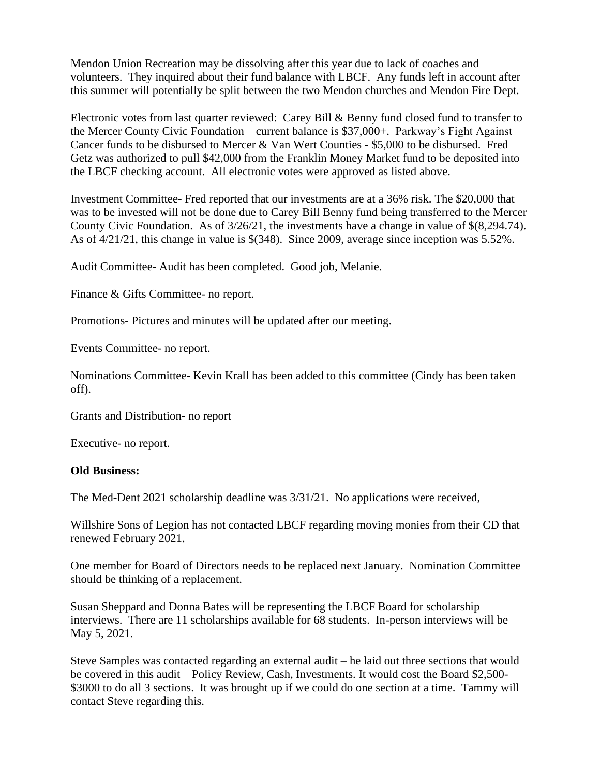Mendon Union Recreation may be dissolving after this year due to lack of coaches and volunteers. They inquired about their fund balance with LBCF. Any funds left in account after this summer will potentially be split between the two Mendon churches and Mendon Fire Dept.

Electronic votes from last quarter reviewed: Carey Bill & Benny fund closed fund to transfer to the Mercer County Civic Foundation – current balance is \$37,000+. Parkway's Fight Against Cancer funds to be disbursed to Mercer & Van Wert Counties - \$5,000 to be disbursed. Fred Getz was authorized to pull \$42,000 from the Franklin Money Market fund to be deposited into the LBCF checking account. All electronic votes were approved as listed above.

Investment Committee- Fred reported that our investments are at a 36% risk. The \$20,000 that was to be invested will not be done due to Carey Bill Benny fund being transferred to the Mercer County Civic Foundation. As of 3/26/21, the investments have a change in value of \$(8,294.74). As of 4/21/21, this change in value is \$(348). Since 2009, average since inception was 5.52%.

Audit Committee- Audit has been completed. Good job, Melanie.

Finance & Gifts Committee- no report.

Promotions- Pictures and minutes will be updated after our meeting.

Events Committee- no report.

Nominations Committee- Kevin Krall has been added to this committee (Cindy has been taken off).

Grants and Distribution- no report

Executive- no report.

#### **Old Business:**

The Med-Dent 2021 scholarship deadline was 3/31/21. No applications were received,

Willshire Sons of Legion has not contacted LBCF regarding moving monies from their CD that renewed February 2021.

One member for Board of Directors needs to be replaced next January. Nomination Committee should be thinking of a replacement.

Susan Sheppard and Donna Bates will be representing the LBCF Board for scholarship interviews. There are 11 scholarships available for 68 students. In-person interviews will be May 5, 2021.

Steve Samples was contacted regarding an external audit – he laid out three sections that would be covered in this audit – Policy Review, Cash, Investments. It would cost the Board \$2,500- \$3000 to do all 3 sections. It was brought up if we could do one section at a time. Tammy will contact Steve regarding this.